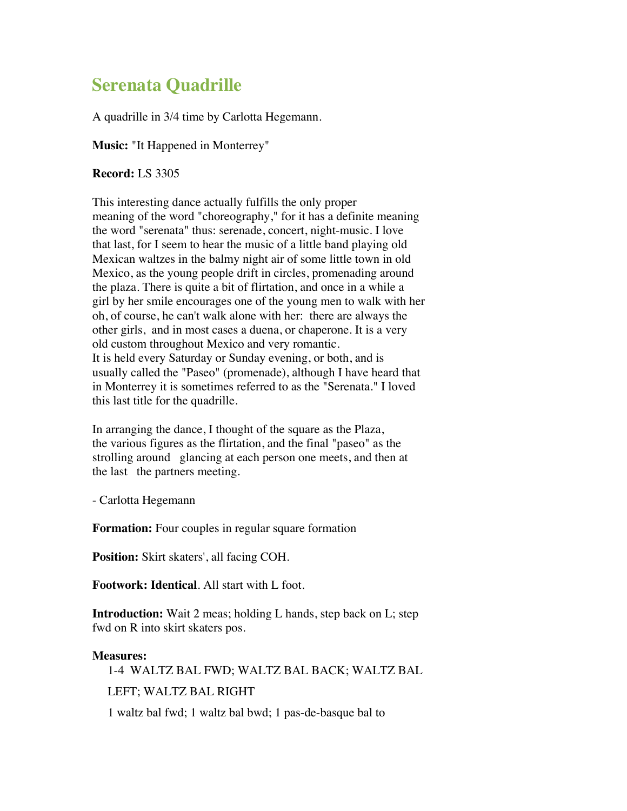## **Serenata Quadrille**

A quadrille in 3/4 time by Carlotta Hegemann.

**Music:** "It Happened in Monterrey"

**Record:** LS 3305

This interesting dance actually fulfills the only proper meaning of the word "choreography," for it has a definite meaning the word "serenata" thus: serenade, concert, night-music. I love that last, for I seem to hear the music of a little band playing old Mexican waltzes in the balmy night air of some little town in old Mexico, as the young people drift in circles, promenading around the plaza. There is quite a bit of flirtation, and once in a while a girl by her smile encourages one of the young men to walk with her oh, of course, he can't walk alone with her: there are always the other girls, and in most cases a duena, or chaperone. It is a very old custom throughout Mexico and very romantic. It is held every Saturday or Sunday evening, or both, and is usually called the "Paseo" (promenade), although I have heard that in Monterrey it is sometimes referred to as the "Serenata." I loved this last title for the quadrille.

In arranging the dance, I thought of the square as the Plaza, the various figures as the flirtation, and the final "paseo" as the strolling around glancing at each person one meets, and then at the last the partners meeting.

- Carlotta Hegemann

**Formation:** Four couples in regular square formation

**Position:** Skirt skaters', all facing COH.

**Footwork: Identical**. All start with L foot.

**Introduction:** Wait 2 meas; holding L hands, step back on L; step fwd on R into skirt skaters pos.

## **Measures:**

1-4 WALTZ BAL FWD; WALTZ BAL BACK; WALTZ BAL LEFT; WALTZ BAL RIGHT 1 waltz bal fwd; 1 waltz bal bwd; 1 pas-de-basque bal to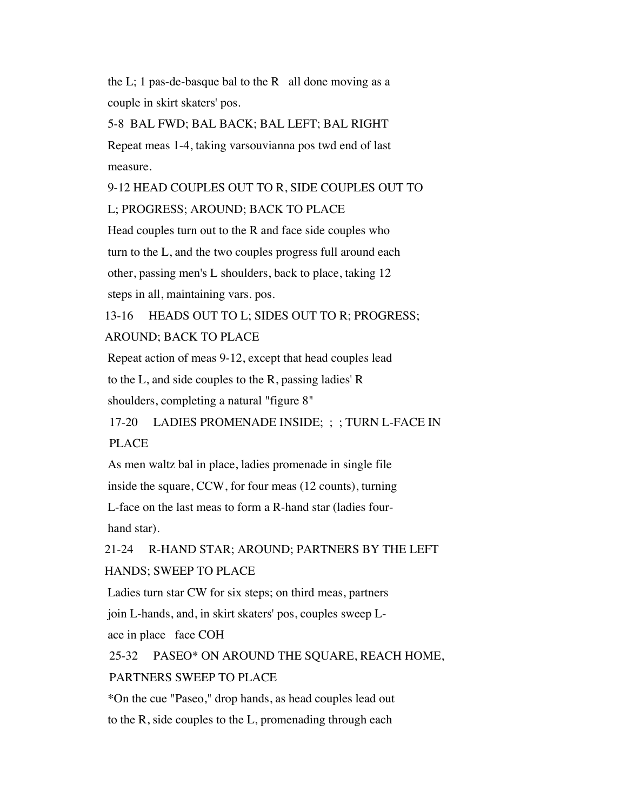the L; 1 pas-de-basque bal to the R all done moving as a couple in skirt skaters' pos.

5-8 BAL FWD; BAL BACK; BAL LEFT; BAL RIGHT Repeat meas 1-4, taking varsouvianna pos twd end of last measure.

9-12 HEAD COUPLES OUT TO R, SIDE COUPLES OUT TO L; PROGRESS; AROUND; BACK TO PLACE

Head couples turn out to the R and face side couples who turn to the L, and the two couples progress full around each other, passing men's L shoulders, back to place, taking 12 steps in all, maintaining vars. pos.

13-16 HEADS OUT TO L; SIDES OUT TO R; PROGRESS; AROUND; BACK TO PLACE

Repeat action of meas 9-12, except that head couples lead to the L, and side couples to the R, passing ladies' R shoulders, completing a natural "figure 8"

17-20 LADIES PROMENADE INSIDE; ; ; TURN L-FACE IN PLACE

As men waltz bal in place, ladies promenade in single file inside the square, CCW, for four meas (12 counts), turning L-face on the last meas to form a R-hand star (ladies fourhand star).

21-24 R-HAND STAR; AROUND; PARTNERS BY THE LEFT HANDS; SWEEP TO PLACE

Ladies turn star CW for six steps; on third meas, partners join L-hands, and, in skirt skaters' pos, couples sweep Lace in place face COH

25-32 PASEO\* ON AROUND THE SQUARE, REACH HOME, PARTNERS SWEEP TO PLACE

\*On the cue "Paseo," drop hands, as head couples lead out to the R, side couples to the L, promenading through each